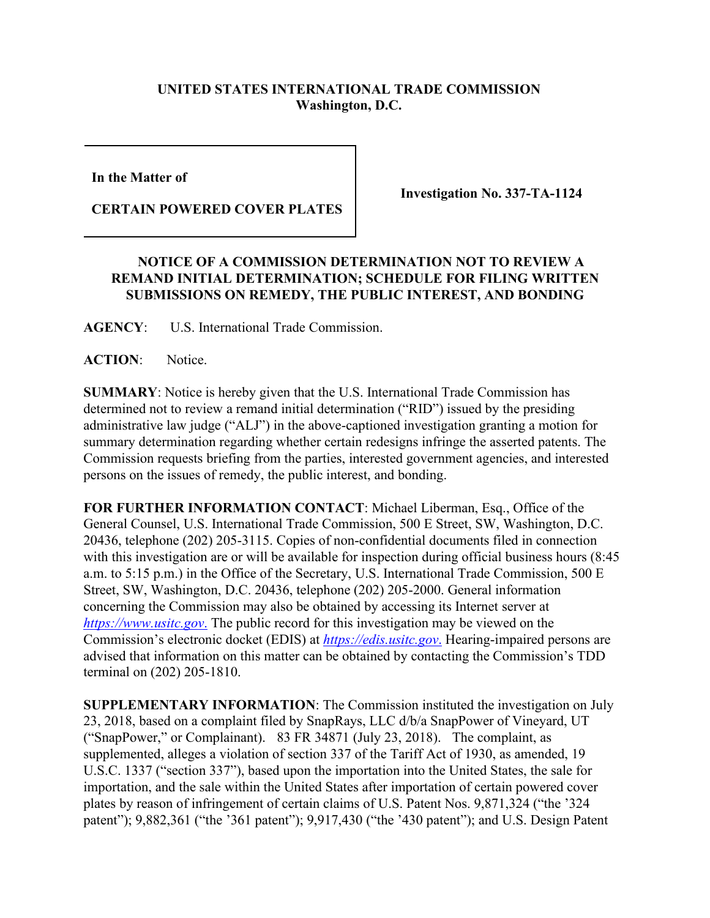## **UNITED STATES INTERNATIONAL TRADE COMMISSION Washington, D.C.**

**In the Matter of** 

**CERTAIN POWERED COVER PLATES**

**Investigation No. 337-TA-1124**

## **NOTICE OF A COMMISSION DETERMINATION NOT TO REVIEW A REMAND INITIAL DETERMINATION; SCHEDULE FOR FILING WRITTEN SUBMISSIONS ON REMEDY, THE PUBLIC INTEREST, AND BONDING**

**AGENCY**: U.S. International Trade Commission.

**ACTION**: Notice.

**SUMMARY**: Notice is hereby given that the U.S. International Trade Commission has determined not to review a remand initial determination ("RID") issued by the presiding administrative law judge ("ALJ") in the above-captioned investigation granting a motion for summary determination regarding whether certain redesigns infringe the asserted patents. The Commission requests briefing from the parties, interested government agencies, and interested persons on the issues of remedy, the public interest, and bonding.

**FOR FURTHER INFORMATION CONTACT**: Michael Liberman, Esq., Office of the General Counsel, U.S. International Trade Commission, 500 E Street, SW, Washington, D.C. 20436, telephone (202) 205-3115. Copies of non-confidential documents filed in connection with this investigation are or will be available for inspection during official business hours (8:45) a.m. to 5:15 p.m.) in the Office of the Secretary, U.S. International Trade Commission, 500 E Street, SW, Washington, D.C. 20436, telephone (202) 205-2000. General information concerning the Commission may also be obtained by accessing its Internet server at *[https://www.usitc.gov](https://www.usitc.gov./)*. The public record for this investigation may be viewed on the Commission's electronic docket (EDIS) at *[https://edis.usitc.gov](https://edis.usitc.gov./)*. Hearing-impaired persons are advised that information on this matter can be obtained by contacting the Commission's TDD terminal on (202) 205-1810.

**SUPPLEMENTARY INFORMATION**: The Commission instituted the investigation on July 23, 2018, based on a complaint filed by SnapRays, LLC d/b/a SnapPower of Vineyard, UT ("SnapPower," or Complainant). 83 FR 34871 (July 23, 2018). The complaint, as supplemented, alleges a violation of section 337 of the Tariff Act of 1930, as amended, 19 U.S.C. 1337 ("section 337"), based upon the importation into the United States, the sale for importation, and the sale within the United States after importation of certain powered cover plates by reason of infringement of certain claims of U.S. Patent Nos. 9,871,324 ("the '324 patent"); 9,882,361 ("the '361 patent"); 9,917,430 ("the '430 patent"); and U.S. Design Patent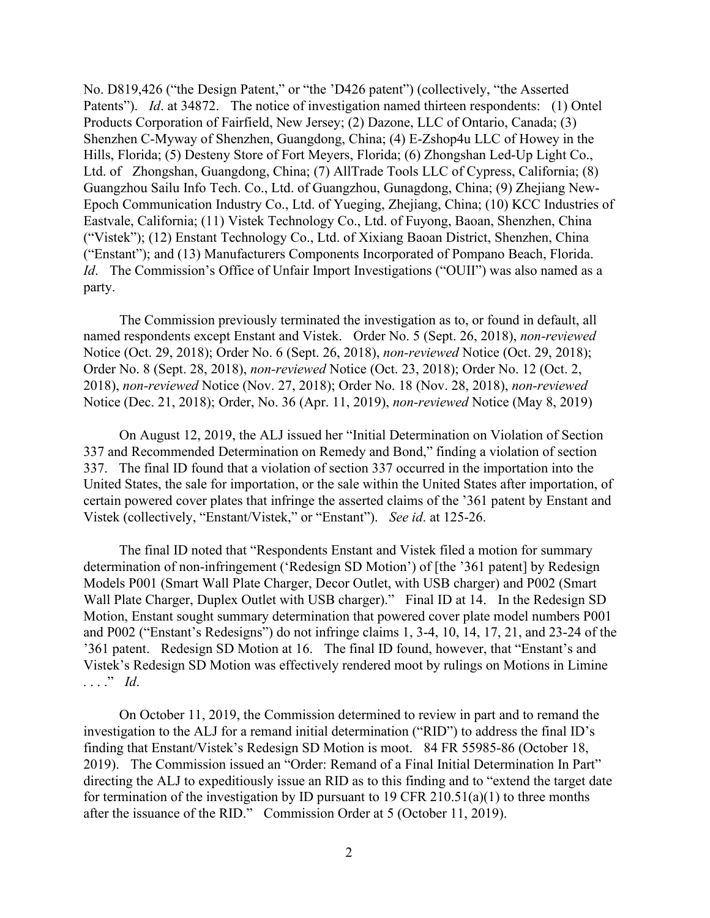No. D819,426 ("the Design Patent," or "the 'D426 patent") (collectively, "the Asserted Patents"). *Id.* at 34872. The notice of investigation named thirteen respondents: (1) Ontel Products Corporation of Fairfield, New Jersey; (2) Dazone, LLC of Ontario, Canada; (3) Shenzhen C-Myway of Shenzhen, Guangdong, China; (4) E-Zshop4u LLC of Howey in the Hills, Florida; (5) Desteny Store of Fort Meyers, Florida; (6) Zhongshan Led-Up Light Co., Ltd. of Zhongshan, Guangdong, China; (7) AllTrade Tools LLC of Cypress, California; (8) Guangzhou Sailu Info Tech. Co., Ltd. of Guangzhou, Gunagdong, China; (9) Zhejiang New-Epoch Communication Industry Co., Ltd. of Yueging, Zhejiang, China; (10) KCC Industries of Eastvale, California; (11) Vistek Technology Co., Ltd. of Fuyong, Baoan, Shenzhen, China ("Vistek"); (12) Enstant Technology Co., Ltd. of Xixiang Baoan District, Shenzhen, China ("Enstant"); and (13) Manufacturers Components Incorporated of Pompano Beach, Florida. *Id.* The Commission's Office of Unfair Import Investigations ("OUII") was also named as a party.

The Commission previously terminated the investigation as to, or found in default, all named respondents except Enstant and Vistek. Order No. 5 (Sept. 26, 2018), *non-reviewed* Notice (Oct. 29, 2018); Order No. 6 (Sept. 26, 2018), *non-reviewed* Notice (Oct. 29, 2018); Order No. 8 (Sept. 28, 2018), *non-reviewed* Notice (Oct. 23, 2018); Order No. 12 (Oct. 2, 2018), *non-reviewed* Notice (Nov. 27, 2018); Order No. 18 (Nov. 28, 2018), *non-reviewed* Notice (Dec. 21, 2018); Order, No. 36 (Apr. 11, 2019), *non-reviewed* Notice (May 8, 2019)

On August 12, 2019, the ALJ issued her "Initial Determination on Violation of Section 337 and Recommended Determination on Remedy and Bond," finding a violation of section 337. The final ID found that a violation of section 337 occurred in the importation into the United States, the sale for importation, or the sale within the United States after importation, of certain powered cover plates that infringe the asserted claims of the '361 patent by Enstant and Vistek (collectively, "Enstant/Vistek," or "Enstant"). *See id*. at 125-26.

The final ID noted that "Respondents Enstant and Vistek filed a motion for summary determination of non-infringement ('Redesign SD Motion') of [the '361 patent] by Redesign Models P001 (Smart Wall Plate Charger, Decor Outlet, with USB charger) and P002 (Smart Wall Plate Charger, Duplex Outlet with USB charger)." Final ID at 14. In the Redesign SD Motion, Enstant sought summary determination that powered cover plate model numbers P001 and P002 ("Enstant's Redesigns") do not infringe claims 1, 3-4, 10, 14, 17, 21, and 23-24 of the '361 patent. Redesign SD Motion at 16. The final ID found, however, that "Enstant's and Vistek's Redesign SD Motion was effectively rendered moot by rulings on Motions in Limine . . . ." *Id*.

On October 11, 2019, the Commission determined to review in part and to remand the investigation to the ALJ for a remand initial determination ("RID") to address the final ID's finding that Enstant/Vistek's Redesign SD Motion is moot. 84 FR 55985-86 (October 18, 2019). The Commission issued an "Order: Remand of a Final Initial Determination In Part" directing the ALJ to expeditiously issue an RID as to this finding and to "extend the target date for termination of the investigation by ID pursuant to 19 CFR 210.51(a)(1) to three months after the issuance of the RID." Commission Order at 5 (October 11, 2019).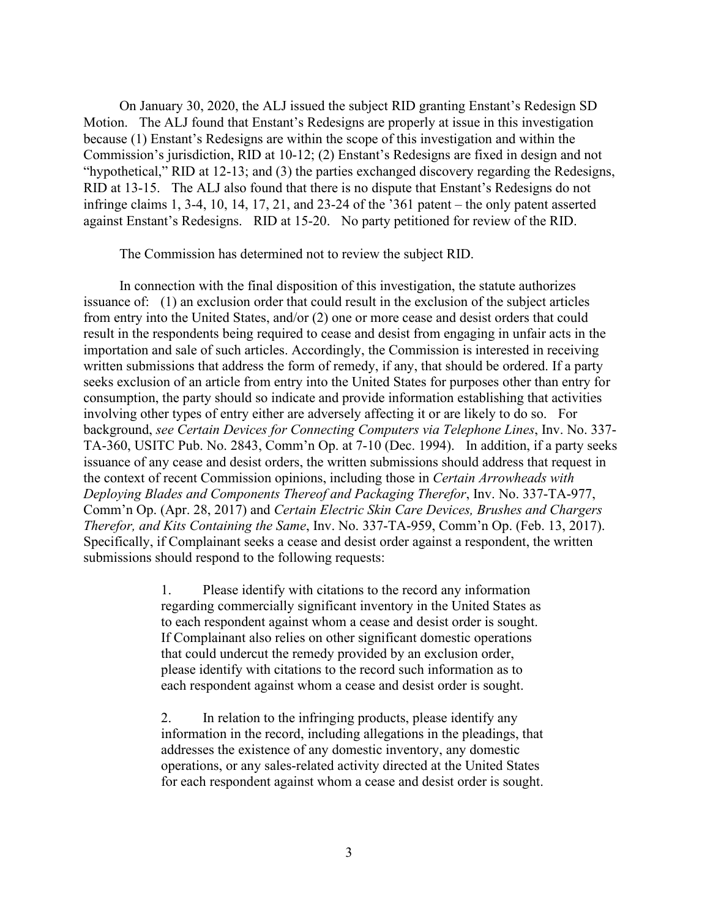On January 30, 2020, the ALJ issued the subject RID granting Enstant's Redesign SD Motion. The ALJ found that Enstant's Redesigns are properly at issue in this investigation because (1) Enstant's Redesigns are within the scope of this investigation and within the Commission's jurisdiction, RID at 10-12; (2) Enstant's Redesigns are fixed in design and not "hypothetical," RID at 12-13; and (3) the parties exchanged discovery regarding the Redesigns, RID at 13-15. The ALJ also found that there is no dispute that Enstant's Redesigns do not infringe claims 1, 3-4, 10, 14, 17, 21, and 23-24 of the '361 patent – the only patent asserted against Enstant's Redesigns. RID at 15-20. No party petitioned for review of the RID.

The Commission has determined not to review the subject RID.

In connection with the final disposition of this investigation, the statute authorizes issuance of: (1) an exclusion order that could result in the exclusion of the subject articles from entry into the United States, and/or (2) one or more cease and desist orders that could result in the respondents being required to cease and desist from engaging in unfair acts in the importation and sale of such articles. Accordingly, the Commission is interested in receiving written submissions that address the form of remedy, if any, that should be ordered. If a party seeks exclusion of an article from entry into the United States for purposes other than entry for consumption, the party should so indicate and provide information establishing that activities involving other types of entry either are adversely affecting it or are likely to do so. For background, *see Certain Devices for Connecting Computers via Telephone Lines*, Inv. No. 337- TA-360, USITC Pub. No. 2843, Comm'n Op. at 7-10 (Dec. 1994). In addition, if a party seeks issuance of any cease and desist orders, the written submissions should address that request in the context of recent Commission opinions, including those in *Certain Arrowheads with Deploying Blades and Components Thereof and Packaging Therefor*, Inv. No. 337-TA-977, Comm'n Op. (Apr. 28, 2017) and *Certain Electric Skin Care Devices, Brushes and Chargers Therefor, and Kits Containing the Same*, Inv. No. 337-TA-959, Comm'n Op. (Feb. 13, 2017). Specifically, if Complainant seeks a cease and desist order against a respondent, the written submissions should respond to the following requests:

> 1. Please identify with citations to the record any information regarding commercially significant inventory in the United States as to each respondent against whom a cease and desist order is sought. If Complainant also relies on other significant domestic operations that could undercut the remedy provided by an exclusion order, please identify with citations to the record such information as to each respondent against whom a cease and desist order is sought.

> 2. In relation to the infringing products, please identify any information in the record, including allegations in the pleadings, that addresses the existence of any domestic inventory, any domestic operations, or any sales-related activity directed at the United States for each respondent against whom a cease and desist order is sought.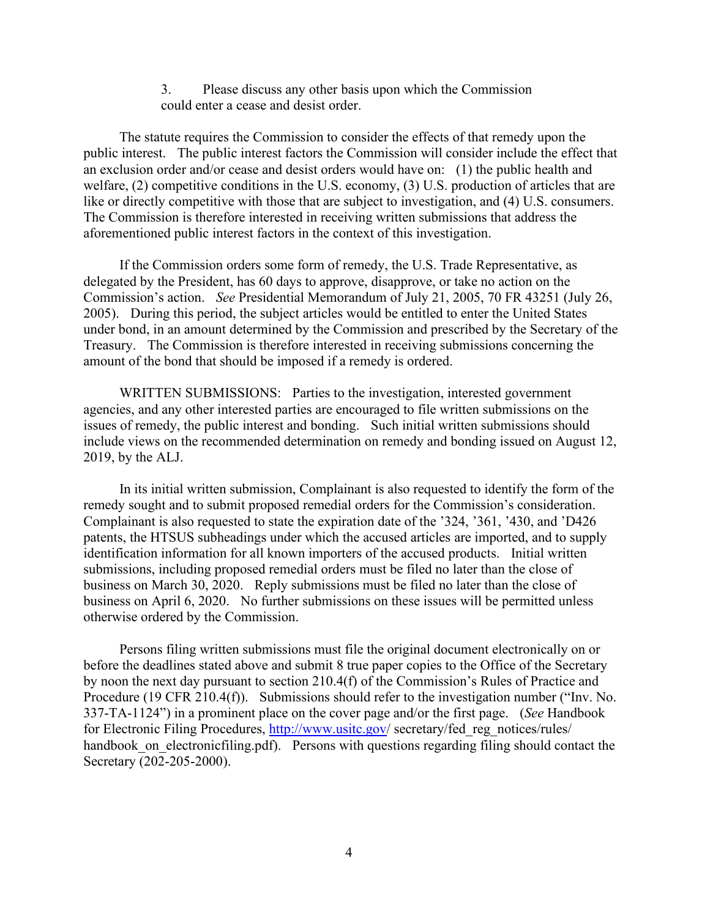## 3. Please discuss any other basis upon which the Commission could enter a cease and desist order.

The statute requires the Commission to consider the effects of that remedy upon the public interest. The public interest factors the Commission will consider include the effect that an exclusion order and/or cease and desist orders would have on: (1) the public health and welfare, (2) competitive conditions in the U.S. economy, (3) U.S. production of articles that are like or directly competitive with those that are subject to investigation, and (4) U.S. consumers. The Commission is therefore interested in receiving written submissions that address the aforementioned public interest factors in the context of this investigation.

If the Commission orders some form of remedy, the U.S. Trade Representative, as delegated by the President, has 60 days to approve, disapprove, or take no action on the Commission's action. *See* Presidential Memorandum of July 21, 2005, 70 FR 43251 (July 26, 2005). During this period, the subject articles would be entitled to enter the United States under bond, in an amount determined by the Commission and prescribed by the Secretary of the Treasury. The Commission is therefore interested in receiving submissions concerning the amount of the bond that should be imposed if a remedy is ordered.

WRITTEN SUBMISSIONS: Parties to the investigation, interested government agencies, and any other interested parties are encouraged to file written submissions on the issues of remedy, the public interest and bonding. Such initial written submissions should include views on the recommended determination on remedy and bonding issued on August 12, 2019, by the ALJ.

In its initial written submission, Complainant is also requested to identify the form of the remedy sought and to submit proposed remedial orders for the Commission's consideration. Complainant is also requested to state the expiration date of the '324, '361, '430, and 'D426 patents, the HTSUS subheadings under which the accused articles are imported, and to supply identification information for all known importers of the accused products. Initial written submissions, including proposed remedial orders must be filed no later than the close of business on March 30, 2020. Reply submissions must be filed no later than the close of business on April 6, 2020. No further submissions on these issues will be permitted unless otherwise ordered by the Commission.

Persons filing written submissions must file the original document electronically on or before the deadlines stated above and submit 8 true paper copies to the Office of the Secretary by noon the next day pursuant to section 210.4(f) of the Commission's Rules of Practice and Procedure (19 CFR 210.4(f)). Submissions should refer to the investigation number ("Inv. No. 337-TA-1124") in a prominent place on the cover page and/or the first page. (*See* Handbook for Electronic Filing Procedures,<http://www.usitc.gov/> secretary/fed reg\_notices/rules/ handbook on electronicfiling.pdf). Persons with questions regarding filing should contact the Secretary (202-205-2000).